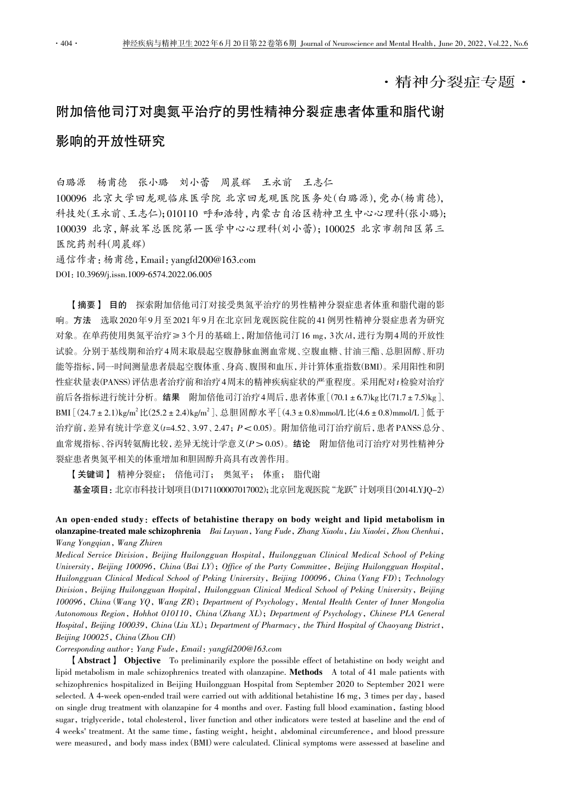·精神分裂症专题·

## 附加倍他司汀对奥氮平治疗的男性精神分裂症患者体重和脂代谢

## 影响的开放性研究

白璐源 杨甫德 张小璐 刘小蕾 周晨辉 王永前 王志仁

100096 北京大学回龙观临床医学院 北京回龙观医院医务处(白璐源),党办(杨甫德), 科技处(王永前、王志仁);010110 呼和浩特,内蒙古自治区精神卫生中心心理科(张小璐); 100039 北京,解放军总医院第一医学中心心理科(刘小蕾);100025 北京市朝阳区第三 医院药剂科(周晨辉)

通信作者:杨甫德,Email:yangfd200@163.com

DOI:10.3969/j.issn.1009-6574.2022.06.005

【摘要】 目的 探索附加倍他司汀对接受奥氮平治疗的男性精神分裂症患者体重和脂代谢的影 响。方法 选取 2020 年 9 月至 2021 年 9 月在北京回龙观医院住院的 41 例男性精神分裂症患者为研究 对象。在单药使用奥氮平治疗≥ 3 个月的基础上,附加倍他司汀 16 mg,3 次 /d,进行为期 4 周的开放性 试验。分别于基线期和治疗 4 周末取晨起空腹静脉血测血常规、空腹血糖、甘油三酯、总胆固醇、肝功 能等指标,同一时间测量患者晨起空腹体重、身高、腹围和血压,并计算体重指数(BMI)。采用阳性和阴 性症状量表(PANSS)评估患者治疗前和治疗4周末的精神疾病症状的严重程度。采用配对t检验对治疗 前后各指标进行统计分析。结果 附加倍他司汀治疗4周后,患者体重[(70.1±6.7)kg比(71.7±7.5)kg]、 BMI [ (24.7 ± 2.1)kg/m<sup>2</sup> 比(25.2 ± 2.4)kg/m<sup>2</sup> ]、总胆固醇水平 [ (4.3 ± 0.8)mmol/L 比(4.6 ± 0.8)mmol/L ] 低于 治疗前,差异有统计学意义(t=4.52、3.97、2.47; P< 0.05)。附加倍他司汀治疗前后,患者 PANSS 总分、 血常规指标、谷丙转氨酶比较,差异无统计学意义(P> 0.05)。结论 附加倍他司汀治疗对男性精神分 裂症患者奥氮平相关的体重增加和胆固醇升高具有改善作用。

【关键词】 精神分裂症; 倍他司汀; 奥氮平; 体重; 脂代谢

基金项目:北京市科技计划项目(D171100007017002);北京回龙观医院"龙跃"计划项目(2014LYJQ-2)

An open-ended study: effects of betahistine therapy on body weight and lipid metabolism in olanzapine-treated male schizophrenia Bai Luyuan, Yang Fude, Zhang Xiaolu, Liu Xiaolei, Zhou Chenhui, Wang Yongqian, Wang Zhiren

Medical Service Division, Beijing Huilongguan Hospital, Huilongguan Clinical Medical School of Peking University, Beijing 100096, China (Bai LY); Office of the Party Committee, Beijing Huilongguan Hospital, Huilongguan Clinical Medical School of Peking University, Beijing 100096, China (Yang FD); Technology Division, Beijing Huilongguan Hospital, Huilongguan Clinical Medical School of Peking University, Beijing 100096, China (Wang YQ, Wang ZR); Department of Psychology, Mental Health Center of Inner Mongolia Autonomous Region, Hohhot 010110, China (Zhang XL); Department of Psychology, Chinese PLA General Hospital, Beijing 100039, China (Liu XL); Department of Pharmacy, the Third Hospital of Chaoyang District, Beijing 100025, China (Zhou CH)

Corresponding author: Yang Fude, Email: yangfd200@163.com

【Abstract】 Objective To preliminarily explore the possible effect of betahistine on body weight and lipid metabolism in male schizophrenics treated with olanzapine. Methods A total of 41 male patients with schizophrenics hospitalized in Beijing Huilongguan Hospital from September 2020 to September 2021 were selected. A 4-week open-ended trail were carried out with additional betahistine 16 mg, 3 times per day, based on single drug treatment with olanzapine for 4 months and over. Fasting full blood examination, fasting blood sugar, triglyceride, total cholesterol, liver function and other indicators were tested at baseline and the end of 4 weeks' treatment. At the same time, fasting weight, height, abdominal circumference, and blood pressure were measured, and body mass index (BMI) were calculated. Clinical symptoms were assessed at baseline and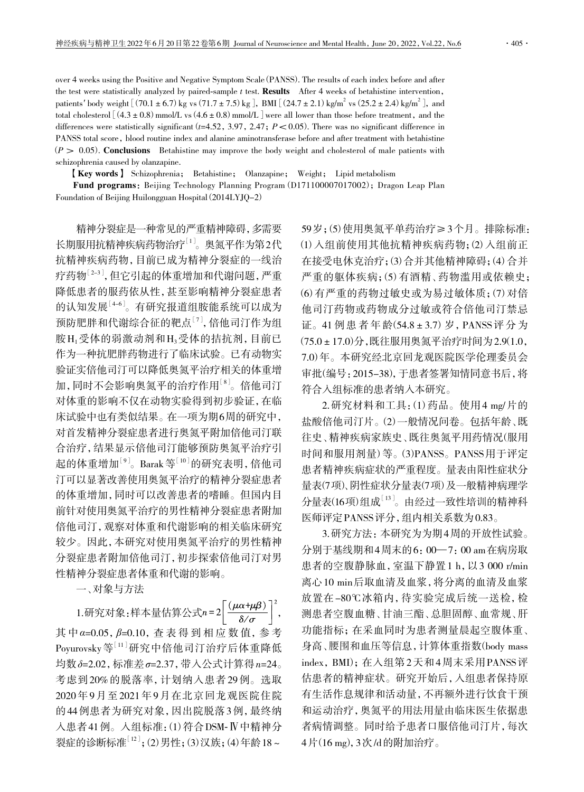patients' body weight [(70.1±6.7) kg vs (71.7±7.5) kg], BMI [(24.7±2.1) kg/m<sup>2</sup> vs (25.2±2.4) kg/m<sup>2</sup>], and total cholesterol  $(4.3\pm0.8)$  mmol/L vs  $(4.6\pm0.8)$  mmol/L were all lower than those before treatment, and the differences were statistically significant ( $t=4.52$ , 3.97, 2.47;  $P < 0.05$ ). There was no significant difference in PANSS total score, blood routine index and alanine aminotransferase before and after treatment with betahistine  $(P > 0.05)$ . Conclusions Betahistine may improve the body weight and cholesterol of male patients with schizophrenia caused by olanzapine.

【Key words】 Schizophrenia; Betahistine; Olanzapine; Weight; Lipid metabolism

Fund programs: Beijing Technology Planning Program (D171100007017002); Dragon Leap Plan Foundation of Beijing Huilongguan Hospital (2014LYJQ-2)

精神分裂症是一种常见的严重精神障碍,多需要 长期服用抗精神疾病药物治疗[1]。奥氮平作为第2代 抗精神疾病药物,目前已成为精神分裂症的一线治 疗药物[2-3],但它引起的体重增加和代谢问题,严重 降低患者的服药依从性,甚至影响精神分裂症患者 的认知发展[4-6]。有研究报道组胺能系统可以成为 预防肥胖和代谢综合征的靶点[7],倍他司汀作为组 胺H1受体的弱激动剂和H3受体的拮抗剂,目前已 作为一种抗肥胖药物进行了临床试验。已有动物实 验证实倍他司汀可以降低奥氮平治疗相关的体重增 加,同时不会影响奥氮平的治疗作用[8]。倍他司汀 对体重的影响不仅在动物实验得到初步验证,在临 床试验中也有类似结果。在一项为期6周的研究中, 对首发精神分裂症患者进行奥氮平附加倍他司汀联 合治疗,结果显示倍他司汀能够预防奥氮平治疗引 起的体重增加<sup>[9]</sup>。Barak 等<sup>[10]</sup>的研究表明, 倍他司 汀可以显著改善使用奥氮平治疗的精神分裂症患者 的体重增加,同时可以改善患者的嗜睡。但国内目 前针对使用奥氮平治疗的男性精神分裂症患者附加 倍他司汀,观察对体重和代谢影响的相关临床研究 较少。因此,本研究对使用奥氮平治疗的男性精神 分裂症患者附加倍他司汀,初步探索倍他司汀对男 性精神分裂症患者体重和代谢的影响。

一、对象与方法

1.研究对象:样本量估算公式 $n = 2 \left[ \frac{(\mu \alpha + \mu \beta)}{\delta / \sigma} \right]^2$ , 其 中*α*=0.05,*β*=0.10,查 表 得 到 相 应 数 值,参 考 Poyurovsky 等[11]研究中倍他司汀治疗后体重降低 均数*δ*=2.02,标准差*σ*=2.37,带入公式计算得n=24。 考虑到 20% 的脱落率,计划纳入患者 29 例。选取 2020 年 9 月至 2021 年 9 月在北京回龙观医院住院 的 44 例患者为研究对象,因出院脱落 3 例,最终纳 入患者 41 例。入组标准:(1)符合DSM-Ⅳ中精神分 裂症的诊断标准[12];(2)男性;(3)汉族;(4)年龄18~

59岁;(5)使用奥氮平单药治疗≥3个月。排除标准: (1)入组前使用其他抗精神疾病药物;(2)入组前正 在接受电休克治疗;(3)合并其他精神障碍;(4)合并 严重的躯体疾病;(5)有酒精、药物滥用或依赖史; (6)有严重的药物过敏史或为易过敏体质;(7)对倍 他司汀药物或药物成分过敏或符合倍他司汀禁忌 证。41 例 患 者 年 龄(54.8±3.7)岁,PANSS 评 分 为 (75.0±17.0)分,既往服用奥氮平治疗时间为 2.9(1.0, 7.0)年。本研究经北京回龙观医院医学伦理委员会 审批(编号:2015-38),于患者签署知情同意书后,将 符合入组标准的患者纳入本研究。

2. 研究材料和工具: (1) 药品。使用4 mg/片的 盐酸倍他司汀片。(2)一般情况问卷。包括年龄、既 往史、精神疾病家族史、既往奥氮平用药情况(服用 时间和服用剂量)等。(3)PANSS。PANSS 用于评定 患者精神疾病症状的严重程度。量表由阳性症状分 量表(7项)、阴性症状分量表(7项)及一般精神病理学 分量表(16项)组成[13]。由经过一致性培训的精神科 医师评定 PANSS 评分,组内相关系数为 0.83。

3. 研究方法:本研究为为期 4 周的开放性试验。 分别于基线期和 4 周末的 6:00— 7:00 am 在病房取 患者的空腹静脉血,室温下静置 1 h,以 3 000 r/min 离心 10 min 后取血清及血浆,将分离的血清及血浆 放置在 -80℃冰箱内,待实验完成后统一送检,检 测患者空腹血糖、甘油三酯、总胆固醇、血常规、肝 功能指标;在采血同时为患者测量晨起空腹体重、 身高、腰围和血压等信息,计算体重指数(body mass index, BMI);在入组第 2 天和 4 周末采用 PANSS 评 估患者的精神症状。研究开始后,入组患者保持原 有生活作息规律和活动量,不再额外进行饮食干预 和运动治疗,奥氮平的用法用量由临床医生依据患 者病情调整。同时给予患者口服倍他司汀片,每次 4 片(16 mg),3 次 /d 的附加治疗。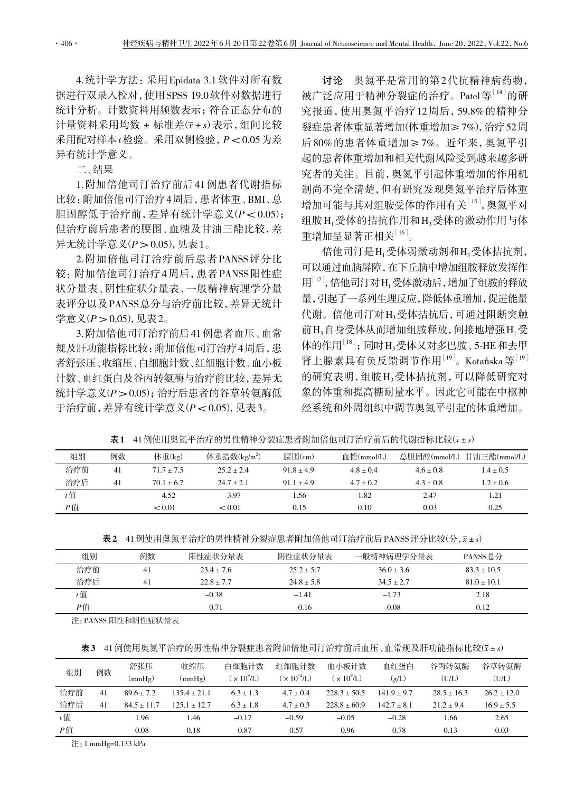4. 统计学方法:采用 Epidata 3.1 软件对所有数 据进行双录入校对,使用 SPSS 19.0 软件对数据进行 统计分析。计数资料用频数表示;符合正态分布的 计量资料采用均数 ± 标准差(x±s)表示,组间比较 采用配对样本 $t$ 检验。采用双侧检验,  $P < 0.05$ 为差 异有统计学意义。

二、结果

1. 附加倍他司汀治疗前后 41 例患者代谢指标 比较:附加倍他司汀治疗4 周后, 患者体重、BMI、总 胆固醇低于治疗前,差异有统计学意义(P< 0.05); 但治疗前后患者的腰围、血糖及甘油三酯比较,差 异无统计学意义 $(P > 0.05)$ , 见表 1。

2. 附加倍他司汀治疗前后患者 PANSS 评分比 较:附加倍他司汀治疗 4 周后,患者 PANSS 阳性症 状分量表、阴性症状分量表、一般精神病理学分量 表评分以及 PANSS 总分与治疗前比较,差异无统计 学意义 $(P > 0.05)$ , 见表 2。

3. 附加倍他司汀治疗前后 41 例患者血压、血常 规及肝功能指标比较:附加倍他司汀治疗4周后,患 者舒张压、收缩压、白细胞计数、红细胞计数、血小板 计数、血红蛋白及谷丙转氨酶与治疗前比较,差异无 统计学意义(P > 0.05); 治疗后患者的谷草转氨酶低 于治疗前,差异有统计学意义(P< 0.05),见表 3。

讨论 奥氮平是常用的第2代抗精神病药物, 被广泛应用于精神分裂症的治疗。Patel 等<sup>[14]</sup>的研 究报道,使用奥氮平治疗 12 周后,59.8% 的精神分 裂症患者体重显著增加(体重增加≥ 7%),治疗 52 周 后 80% 的患者体重增加≥ 7%。近年来,奥氮平引 起的患者体重增加和相关代谢风险受到越来越多研 究者的关注。目前,奥氮平引起体重增加的作用机 制尚不完全清楚,但有研究发现奥氮平治疗后体重 增加可能与其对组胺受体的作用有关[15],奥氮平对 组胺H1受体的拮抗作用和H3受体的激动作用与体 重增加呈显著正相关[16]。

倍他司汀是H1受体弱激动剂和H3受体拮抗剂, 可以通过血脑屏障,在下丘脑中增加组胺释放发挥作 用<sup>[17]</sup>, 倍他司汀对H<sub>1</sub> 受体激动后, 增加了组胺的释放 量,引起了一系列生理反应,降低体重增加,促进能量 代谢。倍他司汀对H2受体拮抗后,可通过阻断突触 前H3自身受体从而增加组胺释放,间接地增强H1受 体的作用<sup>[18]</sup>;同时H3受体又对多巴胺、5-HE和去甲 肾上腺素具有负反馈调节作用 $^{[19]}$ 。Kotańska 等 $^{[19]}$ 的研究表明,组胺 H<sub>3</sub>受体拮抗剂,可以降低研究对 象的体重和提高糖耐量水平。因此它可能在中枢神 经系统和外周组织中调节奥氮平引起的体重增加。

| 组别    | 例数 | 体重(kg)         | 体重指数 $(kg/m^2)$ | 腰围 $(\text{cm})$ | 血糖(mmol/L)    |               | 总胆固醇(mmol/L) 甘油三酯(mmol/L) |
|-------|----|----------------|-----------------|------------------|---------------|---------------|---------------------------|
| 治疗前   | 41 | $71.7 \pm 7.5$ | $25.2 \pm 2.4$  | $91.8 \pm 4.9$   | $4.8 \pm 0.4$ | $4.6 \pm 0.8$ | $1.4 \pm 0.5$             |
| 治疗后   | 41 | $701 + 67$     | $24.7 \pm 2.1$  | $911 + 49$       | $4.7 \pm 0.2$ | $4.3 \pm 0.8$ | $1.2 \pm 0.6$             |
| $t$ 值 |    | 4.52           | 3.97            | 1.56             | -82           | 2.47          | 1.21                      |

表1 41 例使用奥氮平治疗的男性精神分裂症患者附加倍他司汀治疗前后的代谢指标比较(x±s)

|  | 表2 41 例使用奥氮平治疗的男性精神分裂症患者附加倍他司汀治疗前后 PANSS 评分比较(分, x ± s) |  |
|--|---------------------------------------------------------|--|
|--|---------------------------------------------------------|--|

P值  $< 0.01$   $< 0.01$   $0.15$   $0.10$   $0.03$   $0.25$ 

| 组别  | 例数 | 阳性症状分量表        | 阴性症状分量表        | 一般精神病理学分量表     | PANSS 总分        |
|-----|----|----------------|----------------|----------------|-----------------|
| 治疗前 | 41 | $23.4 \pm 7.6$ | $25.2 \pm 5.7$ | $36.0 \pm 3.6$ | $83.3 \pm 10.5$ |
| 治疗后 | 41 | $22.8 + 7.7$   | $248 + 58$     | $345 + 27$     | $81.0 \pm 10.1$ |
| t 值 |    | $-0.38$        | $-1.41$        | $-1.73$        | 2.18            |
| Р值  |    | 0.71           | 0.16           | 0.08           | 0.12            |

注:PANSS 阳性和阴性症状量表

表3 41 例使用奥氮平治疗的男性精神分裂症患者附加倍他司汀治疗前后血压、血常规及肝功能指标比较(x±s)

| 组别    | 例数 | 舒张压<br>$\text{(mmHg)}$ | 收缩压<br>(mmHg)    | 白细胞计数<br>$\left( \times 10^{9}$ /L) | 红细胞计数<br>$\times 10^{12}$ /L) | 血小板计数<br>$\propto 10^9$ /L) | 血红蛋白<br>(g/L)   | 谷丙转氨酶<br>(U/L)  | 谷草转氨酶<br>(U/L) |
|-------|----|------------------------|------------------|-------------------------------------|-------------------------------|-----------------------------|-----------------|-----------------|----------------|
| 治疗前   | 41 | $89.6 \pm 7.2$         | $1354 + 211$     | $6.3 \pm 1.3$                       | $4.7 \pm 0.4$                 | $2283 + 505$                | $1419 + 97$     | $28.5 \pm 16.3$ | $262 + 120$    |
| 治疗后   | 41 | $84.5 \pm 11.7$        | $125.1 \pm 12.7$ | $6.3 \pm 1.8$                       | $4.7 \pm 0.3$                 | $228.8 \pm 60.9$            | $142.7 \pm 8.1$ | $21.2 \pm 9.4$  | $16.9 \pm 5.5$ |
| $t$ 值 |    | I.96                   | 1.46             | $-0.17$                             | $-0.59$                       | $-0.05$                     | $-0.28$         | 1.66            | 2.65           |
| P值    |    | 0.08                   | 0.18             | 0.87                                | 0.57                          | 0.96                        | 0.78            | 0.13            | 0.03           |

注:1 mmHg=0.133 kPa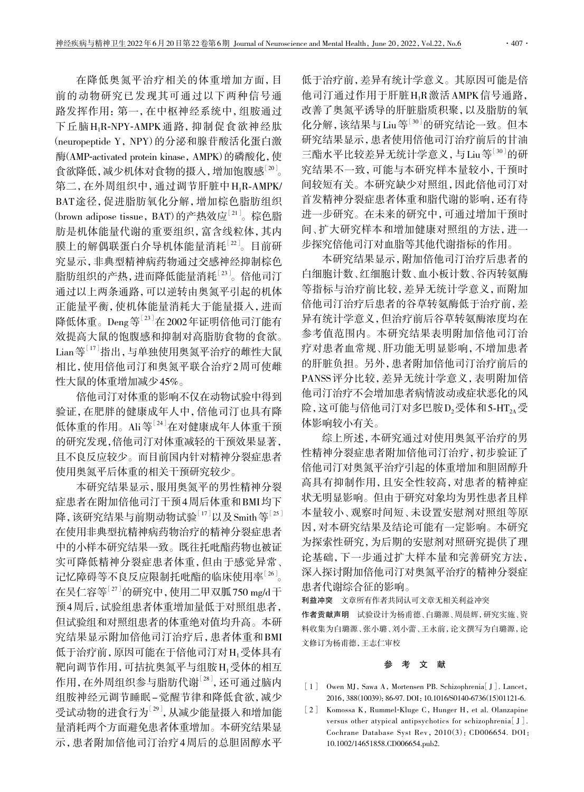在降低奥氮平治疗相关的体重增加方面,目 前的动物研究已发现其可通过以下两种信号通 路发挥作用:第一,在中枢神经系统中,组胺通过 下丘脑H1R-NPY-AMPK 通路,抑制促食欲神经肽 (neuropeptide Y, NPY)的分泌和腺苷酸活化蛋白激 酶(AMP-activated protein kinase, AMPK)的磷酸化,使 食欲降低,减少机体对食物的摄入,增加饱腹感[20]。 第二,在外周组织中,通过调节肝脏中 H<sub>1</sub>R-AMPK/ BAT 途径,促进脂肪氧化分解,增加棕色脂肪组织 (brown adipose tissue, BAT)的产热效应<sup>[21]</sup>。棕色脂 肪是机体能量代谢的重要组织,富含线粒体,其内 膜上的解偶联蛋白介导机体能量消耗[22]。目前研 究显示,非典型精神病药物通过交感神经抑制棕色 脂肪组织的产热,进而降低能量消耗[23]。倍他司汀 通过以上两条通路,可以逆转由奥氮平引起的机体 正能量平衡,使机体能量消耗大于能量摄入,进而 降低体重。Deng等[23]在 2002年证明倍他司汀能有 效提高大鼠的饱腹感和抑制对高脂肪食物的食欲。 Lian 等<sup>[17]</sup>指出,与单独使用奥氮平治疗的雌性大鼠 相比,使用倍他司汀和奥氮平联合治疗 2 周可使雌 性大鼠的体重增加减少 45%。

倍他司汀对体重的影响不仅在动物试验中得到 验证,在肥胖的健康成年人中,倍他司汀也具有降 低体重的作用。Ali等[24]在对健康成年人体重干预 的研究发现,倍他司汀对体重减轻的干预效果显著, 且不良反应较少。而目前国内针对精神分裂症患者 使用奥氮平后体重的相关干预研究较少。

本研究结果显示,服用奥氮平的男性精神分裂 症患者在附加倍他司汀干预 4 周后体重和 BMI 均下 降,该研究结果与前期动物试验 $^{[17]}$ 以及 Smith 等 $^{[25]}$ 在使用非典型抗精神病药物治疗的精神分裂症患者 中的小样本研究结果一致。既往托吡酯药物也被证 实可降低精神分裂症患者体重,但由于感觉异常、 记忆障碍等不良反应限制托吡酯的临床使用率[26]。 在吴仁容等[27]的研究中,使用二甲双胍 750 mg/d 干 预 4 周后,试验组患者体重增加量低于对照组患者, 但试验组和对照组患者的体重绝对值均升高。本研 究结果显示附加倍他司汀治疗后,患者体重和 BMI 低于治疗前,原因可能在于倍他司汀对 H<sub>1</sub>受体具有 靶向调节作用,可拮抗奥氮平与组胺 H1受体的相互 作用,在外周组织参与脂肪代谢[28],还可通过脑内 组胺神经元调节睡眠 - 觉醒节律和降低食欲,减少 受试动物的进食行为[29],从减少能量摄入和增加能 量消耗两个方面避免患者体重增加。本研究结果显 示,患者附加倍他司汀治疗 4 周后的总胆固醇水平

低于治疗前,差异有统计学意义。其原因可能是倍 他司汀通过作用于肝脏H1R 激活 AMPK 信号通路, 改善了奥氮平诱导的肝脏脂质积聚,以及脂肪的氧 化分解,该结果与 Liu 等<sup>[30]</sup>的研究结论一致。但本 研究结果显示,患者使用倍他司汀治疗前后的甘油 三酯水平比较差异无统计学意义,与 Liu 等<sup>[30]</sup>的研 究结果不一致,可能与本研究样本量较小,干预时 间较短有关。本研究缺少对照组,因此倍他司汀对 首发精神分裂症患者体重和脂代谢的影响,还有待 进一步研究。在未来的研究中,可通过增加干预时 间、扩大研究样本和增加健康对照组的方法,进一 步探究倍他司汀对血脂等其他代谢指标的作用。

本研究结果显示,附加倍他司汀治疗后患者的 白细胞计数、红细胞计数、血小板计数、谷丙转氨酶 等指标与治疗前比较,差异无统计学意义,而附加 倍他司汀治疗后患者的谷草转氨酶低于治疗前,差 异有统计学意义,但治疗前后谷草转氨酶浓度均在 参考值范围内。本研究结果表明附加倍他司汀治 疗对患者血常规、肝功能无明显影响,不增加患者 的肝脏负担。另外,患者附加倍他司汀治疗前后的 PANSS 评分比较,差异无统计学意义,表明附加倍 他司汀治疗不会增加患者病情波动或症状恶化的风 险,这可能与倍他司汀对多巴胺 D<sub>2</sub>受体和 5-HT<sub>24</sub>受 体影响较小有关。

综上所述,本研究通过对使用奥氮平治疗的男 性精神分裂症患者附加倍他司汀治疗,初步验证了 倍他司汀对奥氮平治疗引起的体重增加和胆固醇升 高具有抑制作用,且安全性较高,对患者的精神症 状无明显影响。但由于研究对象均为男性患者且样 本量较小、观察时间短、未设置安慰剂对照组等原 因,对本研究结果及结论可能有一定影响。本研究 为探索性研究,为后期的安慰剂对照研究提供了理 论基础,下一步通过扩大样本量和完善研究方法, 深入探讨附加倍他司汀对奥氮平治疗的精神分裂症 患者代谢综合征的影响。

利益冲突 文章所有作者共同认可文章无相关利益冲突 作者贡献声明 试验设计为杨甫德、白璐源、周晨辉,研究实施、资 料收集为白璐源、张小璐、刘小蕾、王永前,论文撰写为白璐源,论 文修订为杨甫德,王志仁审校

## 参 考 文 献

- [1] Owen MJ, Sawa A, Mortensen PB. Schizophrenia<sup>[J]</sup>. Lancet, 2016,388(10039):86-97. DOI:10.1016/S0140-6736(15)01121-6.
- [2] Komossa K, Rummel-Kluge C, Hunger H, et al. Olanzapine versus other atypical antipsychotics for schizophrenia[J]. Cochrane Database Syst Rev,2010(3):CD006654. DOI: 10.1002/14651858.CD006654.pub2.